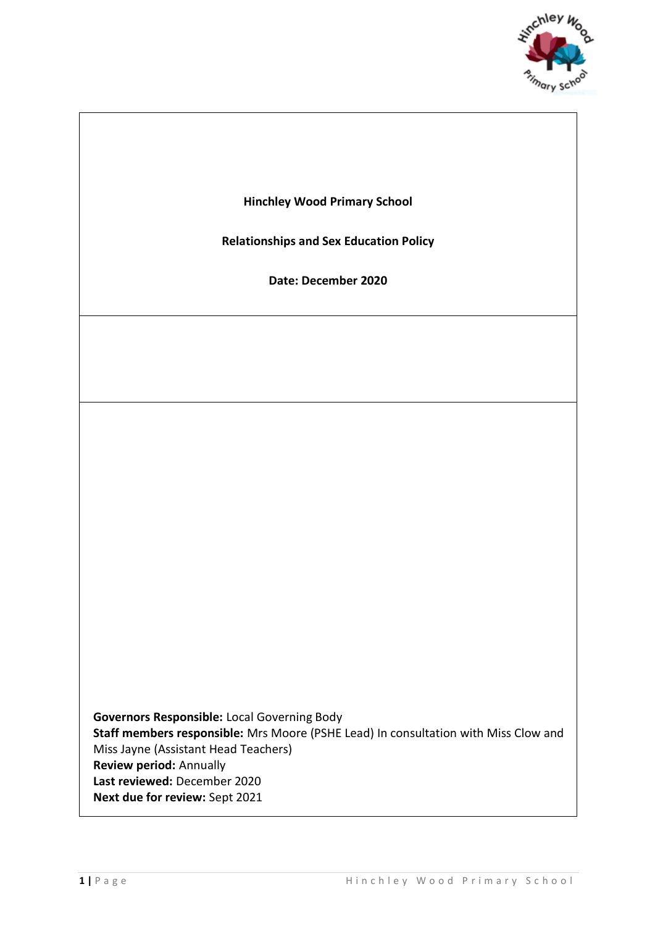

**Hinchley Wood Primary School**

**Relationships and Sex Education Policy**

**Date: December 2020**

**Governors Responsible:** Local Governing Body **Staff members responsible:** Mrs Moore (PSHE Lead) In consultation with Miss Clow and Miss Jayne (Assistant Head Teachers) **Review period:** Annually **Last reviewed:** December 2020 **Next due for review:** Sept 2021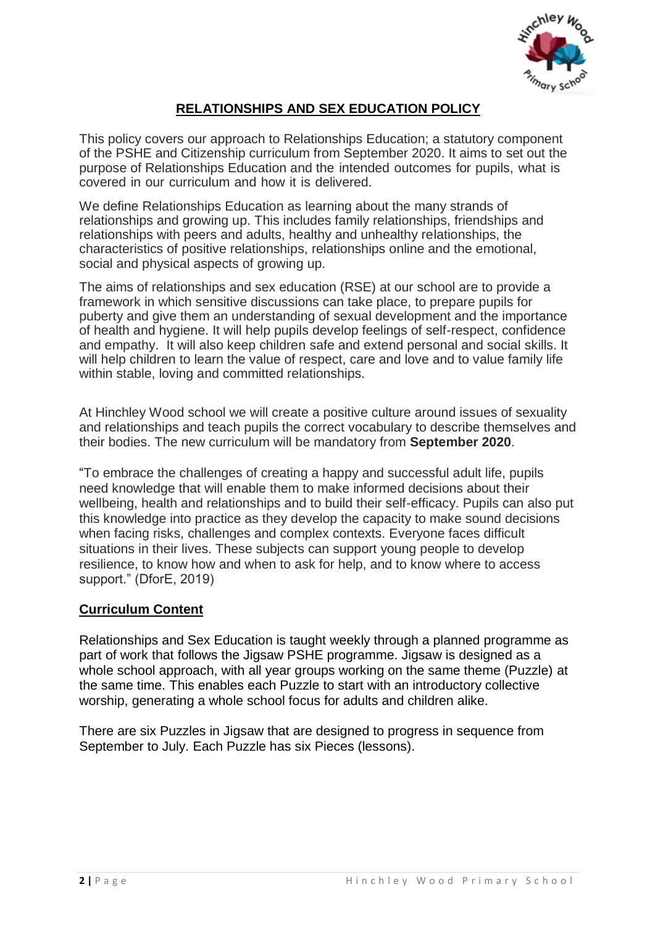

# **RELATIONSHIPS AND SEX EDUCATION POLICY**

This policy covers our approach to Relationships Education; a statutory component of the PSHE and Citizenship curriculum from September 2020. It aims to set out the purpose of Relationships Education and the intended outcomes for pupils, what is covered in our curriculum and how it is delivered.

We define Relationships Education as learning about the many strands of relationships and growing up. This includes family relationships, friendships and relationships with peers and adults, healthy and unhealthy relationships, the characteristics of positive relationships, relationships online and the emotional, social and physical aspects of growing up.

The aims of relationships and sex education (RSE) at our school are to provide a framework in which sensitive discussions can take place, to prepare pupils for puberty and give them an understanding of sexual development and the importance of health and hygiene. It will help pupils develop feelings of self-respect, confidence and empathy. It will also keep children safe and extend personal and social skills. It will help children to learn the value of respect, care and love and to value family life within stable, loving and committed relationships.

At Hinchley Wood school we will create a positive culture around issues of sexuality and relationships and teach pupils the correct vocabulary to describe themselves and their bodies. The new curriculum will be mandatory from **September 2020**.

"To embrace the challenges of creating a happy and successful adult life, pupils need knowledge that will enable them to make informed decisions about their wellbeing, health and relationships and to build their self-efficacy. Pupils can also put this knowledge into practice as they develop the capacity to make sound decisions when facing risks, challenges and complex contexts. Everyone faces difficult situations in their lives. These subjects can support young people to develop resilience, to know how and when to ask for help, and to know where to access support." (DforE, 2019)

### **Curriculum Content**

Relationships and Sex Education is taught weekly through a planned programme as part of work that follows the Jigsaw PSHE programme. Jigsaw is designed as a whole school approach, with all year groups working on the same theme (Puzzle) at the same time. This enables each Puzzle to start with an introductory collective worship, generating a whole school focus for adults and children alike.

There are six Puzzles in Jigsaw that are designed to progress in sequence from September to July. Each Puzzle has six Pieces (lessons).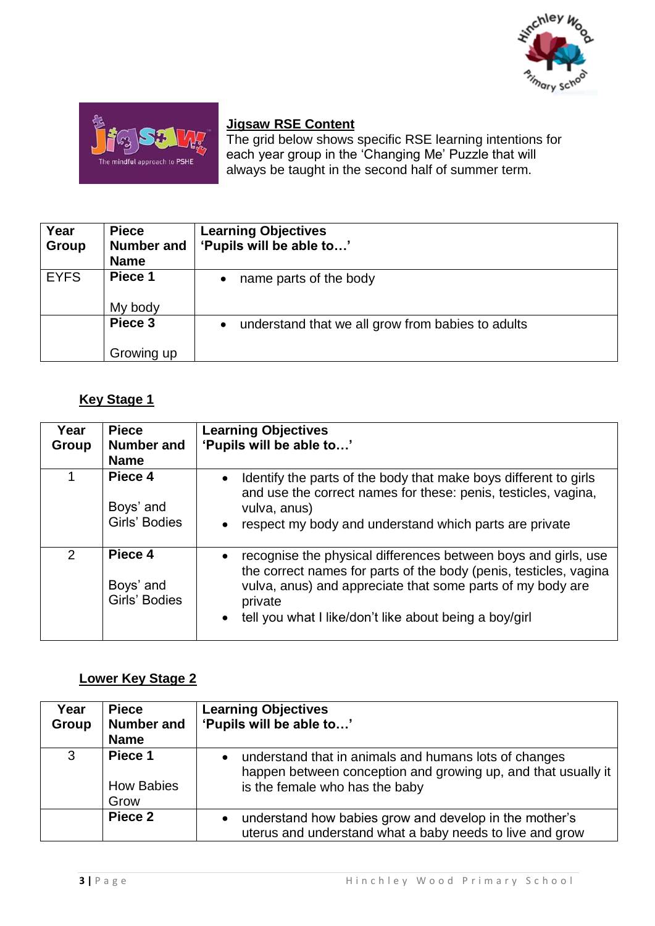



## **Jigsaw RSE Content**

The grid below shows specific RSE learning intentions for each year group in the 'Changing Me' Puzzle that will always be taught in the second half of summer term.

| Year        | <b>Piece</b>      | <b>Learning Objectives</b>                        |
|-------------|-------------------|---------------------------------------------------|
| Group       | <b>Number and</b> | 'Pupils will be able to'                          |
|             | <b>Name</b>       |                                                   |
| <b>EYFS</b> | Piece 1           | name parts of the body                            |
|             | My body           |                                                   |
|             | Piece 3           | understand that we all grow from babies to adults |
|             | Growing up        |                                                   |

# **Key Stage 1**

| Year<br>Group  | <b>Piece</b><br><b>Number and</b><br><b>Name</b> | <b>Learning Objectives</b><br>'Pupils will be able to'                                                                                                                                                                                                                              |
|----------------|--------------------------------------------------|-------------------------------------------------------------------------------------------------------------------------------------------------------------------------------------------------------------------------------------------------------------------------------------|
|                | Piece 4<br>Boys' and<br>Girls' Bodies            | Identify the parts of the body that make boys different to girls<br>$\bullet$<br>and use the correct names for these: penis, testicles, vagina,<br>vulva, anus)<br>respect my body and understand which parts are private<br>$\bullet$                                              |
| $\overline{2}$ | Piece 4<br>Boys' and<br>Girls' Bodies            | recognise the physical differences between boys and girls, use<br>$\bullet$<br>the correct names for parts of the body (penis, testicles, vagina<br>vulva, anus) and appreciate that some parts of my body are<br>private<br>tell you what I like/don't like about being a boy/girl |

# **Lower Key Stage 2**

| Year<br>Group | <b>Piece</b><br><b>Number and</b><br><b>Name</b> | <b>Learning Objectives</b><br>'Pupils will be able to'                                                                                                   |
|---------------|--------------------------------------------------|----------------------------------------------------------------------------------------------------------------------------------------------------------|
| 3             | Piece 1<br><b>How Babies</b><br>Grow             | understand that in animals and humans lots of changes<br>happen between conception and growing up, and that usually it<br>is the female who has the baby |
|               | Piece 2                                          | understand how babies grow and develop in the mother's<br>uterus and understand what a baby needs to live and grow                                       |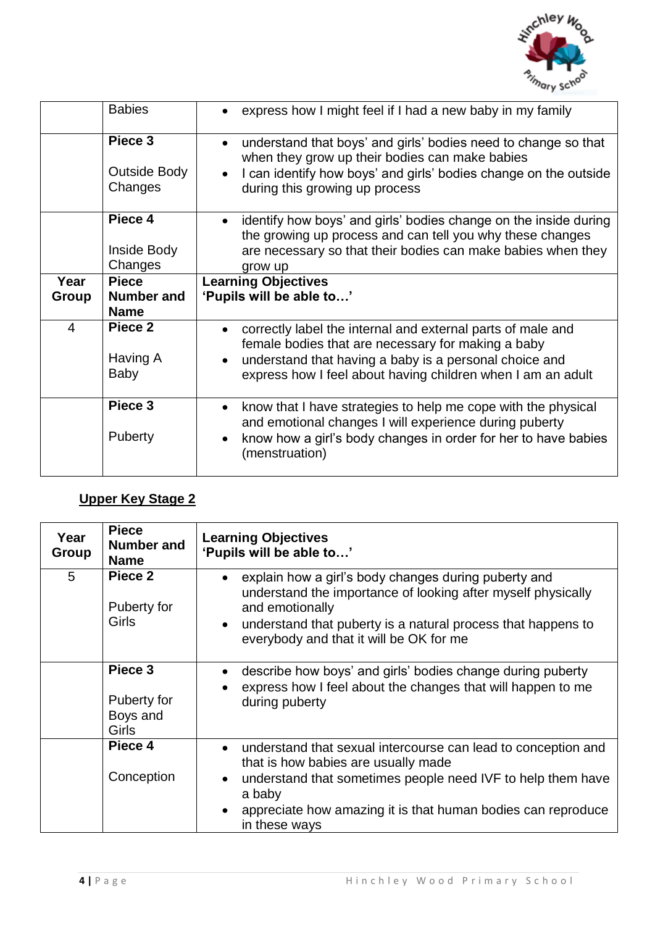

|                         | <b>Babies</b>                      | express how I might feel if I had a new baby in my family                                                                                                                                                                                  |
|-------------------------|------------------------------------|--------------------------------------------------------------------------------------------------------------------------------------------------------------------------------------------------------------------------------------------|
|                         | Piece 3<br>Outside Body<br>Changes | understand that boys' and girls' bodies need to change so that<br>when they grow up their bodies can make babies<br>I can identify how boys' and girls' bodies change on the outside<br>during this growing up process                     |
|                         | Piece 4<br>Inside Body<br>Changes  | identify how boys' and girls' bodies change on the inside during<br>the growing up process and can tell you why these changes<br>are necessary so that their bodies can make babies when they<br>grow up                                   |
| Year                    | <b>Piece</b>                       | <b>Learning Objectives</b>                                                                                                                                                                                                                 |
|                         |                                    |                                                                                                                                                                                                                                            |
|                         | <b>Number and</b>                  | 'Pupils will be able to'                                                                                                                                                                                                                   |
| Group                   | <b>Name</b>                        |                                                                                                                                                                                                                                            |
| $\overline{\mathbf{4}}$ | Piece 2<br>Having A<br>Baby        | correctly label the internal and external parts of male and<br>female bodies that are necessary for making a baby<br>understand that having a baby is a personal choice and<br>express how I feel about having children when I am an adult |

# **Upper Key Stage 2**

| Year<br>Group | <b>Piece</b><br>Number and<br><b>Name</b>          | <b>Learning Objectives</b><br>'Pupils will be able to'                                                                                                                                                                                                                      |
|---------------|----------------------------------------------------|-----------------------------------------------------------------------------------------------------------------------------------------------------------------------------------------------------------------------------------------------------------------------------|
| 5             | Piece 2<br>Puberty for<br><b>Girls</b>             | explain how a girl's body changes during puberty and<br>understand the importance of looking after myself physically<br>and emotionally<br>understand that puberty is a natural process that happens to<br>$\bullet$<br>everybody and that it will be OK for me             |
|               | Piece 3<br>Puberty for<br>Boys and<br><b>Girls</b> | describe how boys' and girls' bodies change during puberty<br>express how I feel about the changes that will happen to me<br>during puberty                                                                                                                                 |
|               | Piece 4<br>Conception                              | understand that sexual intercourse can lead to conception and<br>that is how babies are usually made<br>understand that sometimes people need IVF to help them have<br>$\bullet$<br>a baby<br>appreciate how amazing it is that human bodies can reproduce<br>in these ways |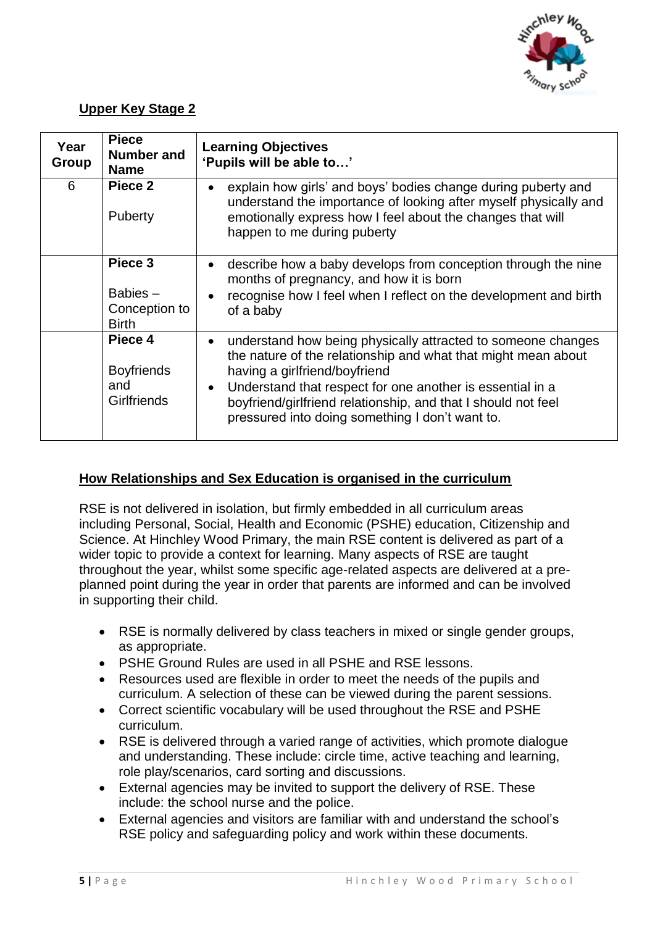

# **Upper Key Stage 2**

| Year<br><b>Group</b> | <b>Piece</b><br><b>Number and</b><br><b>Name</b>          | <b>Learning Objectives</b><br>'Pupils will be able to'                                                                                                                                                                                                                                                                                                                    |
|----------------------|-----------------------------------------------------------|---------------------------------------------------------------------------------------------------------------------------------------------------------------------------------------------------------------------------------------------------------------------------------------------------------------------------------------------------------------------------|
| 6                    | Piece 2<br>Puberty                                        | explain how girls' and boys' bodies change during puberty and<br>understand the importance of looking after myself physically and<br>emotionally express how I feel about the changes that will<br>happen to me during puberty                                                                                                                                            |
|                      | Piece 3<br>Babies $-$<br>Conception to<br><b>Birth</b>    | describe how a baby develops from conception through the nine<br>$\bullet$<br>months of pregnancy, and how it is born<br>recognise how I feel when I reflect on the development and birth<br>of a baby                                                                                                                                                                    |
|                      | Piece 4<br><b>Boyfriends</b><br>and<br><b>Girlfriends</b> | understand how being physically attracted to someone changes<br>$\bullet$<br>the nature of the relationship and what that might mean about<br>having a girlfriend/boyfriend<br>Understand that respect for one another is essential in a<br>$\bullet$<br>boyfriend/girlfriend relationship, and that I should not feel<br>pressured into doing something I don't want to. |

## **How Relationships and Sex Education is organised in the curriculum**

RSE is not delivered in isolation, but firmly embedded in all curriculum areas including Personal, Social, Health and Economic (PSHE) education, Citizenship and Science. At Hinchley Wood Primary, the main RSE content is delivered as part of a wider topic to provide a context for learning. Many aspects of RSE are taught throughout the year, whilst some specific age-related aspects are delivered at a preplanned point during the year in order that parents are informed and can be involved in supporting their child.

- RSE is normally delivered by class teachers in mixed or single gender groups, as appropriate.
- PSHE Ground Rules are used in all PSHE and RSE lessons.
- Resources used are flexible in order to meet the needs of the pupils and curriculum. A selection of these can be viewed during the parent sessions.
- Correct scientific vocabulary will be used throughout the RSE and PSHE curriculum.
- RSE is delivered through a varied range of activities, which promote dialogue and understanding. These include: circle time, active teaching and learning, role play/scenarios, card sorting and discussions.
- External agencies may be invited to support the delivery of RSE. These include: the school nurse and the police.
- External agencies and visitors are familiar with and understand the school's RSE policy and safeguarding policy and work within these documents.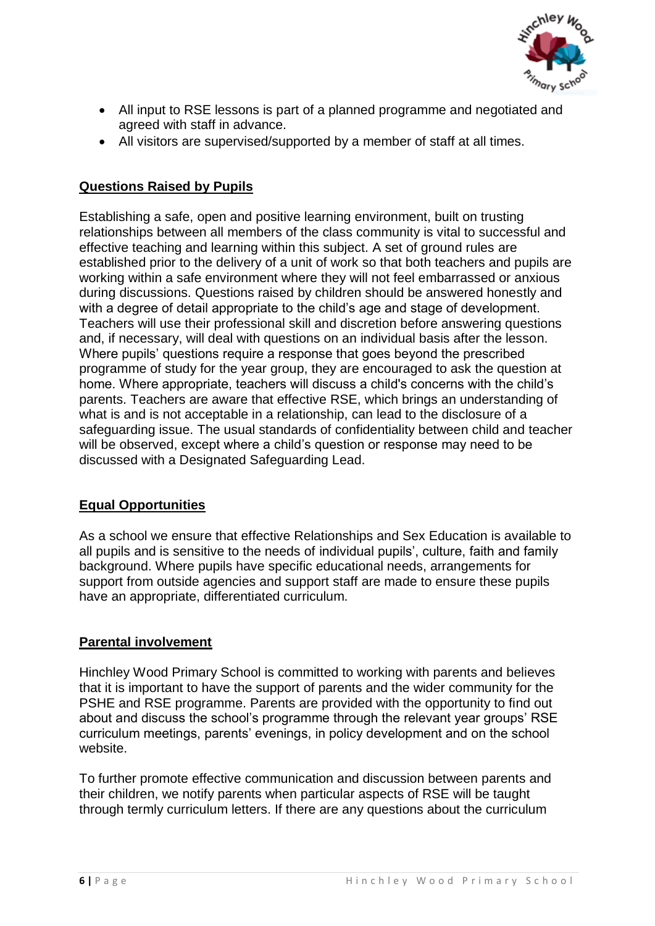

- All input to RSE lessons is part of a planned programme and negotiated and agreed with staff in advance.
- All visitors are supervised/supported by a member of staff at all times.

# **Questions Raised by Pupils**

Establishing a safe, open and positive learning environment, built on trusting relationships between all members of the class community is vital to successful and effective teaching and learning within this subject. A set of ground rules are established prior to the delivery of a unit of work so that both teachers and pupils are working within a safe environment where they will not feel embarrassed or anxious during discussions. Questions raised by children should be answered honestly and with a degree of detail appropriate to the child's age and stage of development. Teachers will use their professional skill and discretion before answering questions and, if necessary, will deal with questions on an individual basis after the lesson. Where pupils' questions require a response that goes beyond the prescribed programme of study for the year group, they are encouraged to ask the question at home. Where appropriate, teachers will discuss a child's concerns with the child's parents. Teachers are aware that effective RSE, which brings an understanding of what is and is not acceptable in a relationship, can lead to the disclosure of a safeguarding issue. The usual standards of confidentiality between child and teacher will be observed, except where a child's question or response may need to be discussed with a Designated Safeguarding Lead.

## **Equal Opportunities**

As a school we ensure that effective Relationships and Sex Education is available to all pupils and is sensitive to the needs of individual pupils', culture, faith and family background. Where pupils have specific educational needs, arrangements for support from outside agencies and support staff are made to ensure these pupils have an appropriate, differentiated curriculum.

## **Parental involvement**

Hinchley Wood Primary School is committed to working with parents and believes that it is important to have the support of parents and the wider community for the PSHE and RSE programme. Parents are provided with the opportunity to find out about and discuss the school's programme through the relevant year groups' RSE curriculum meetings, parents' evenings, in policy development and on the school website.

To further promote effective communication and discussion between parents and their children, we notify parents when particular aspects of RSE will be taught through termly curriculum letters. If there are any questions about the curriculum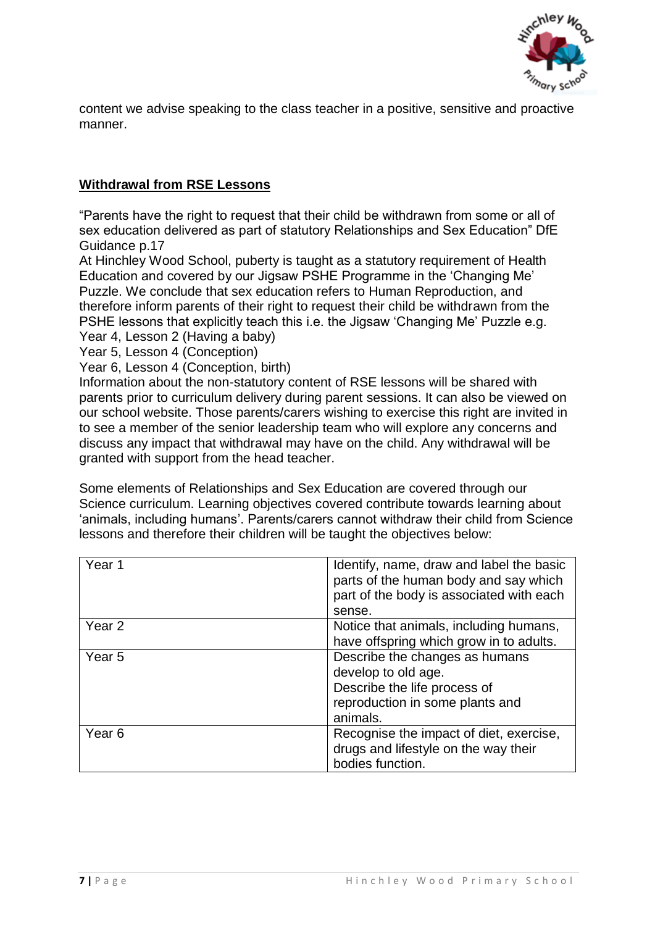

content we advise speaking to the class teacher in a positive, sensitive and proactive manner.

## **Withdrawal from RSE Lessons**

"Parents have the right to request that their child be withdrawn from some or all of sex education delivered as part of statutory Relationships and Sex Education" DfE Guidance p.17

At Hinchley Wood School, puberty is taught as a statutory requirement of Health Education and covered by our Jigsaw PSHE Programme in the 'Changing Me' Puzzle. We conclude that sex education refers to Human Reproduction, and therefore inform parents of their right to request their child be withdrawn from the PSHE lessons that explicitly teach this i.e. the Jigsaw 'Changing Me' Puzzle e.g. Year 4, Lesson 2 (Having a baby)

Year 5, Lesson 4 (Conception)

Year 6, Lesson 4 (Conception, birth)

Information about the non-statutory content of RSE lessons will be shared with parents prior to curriculum delivery during parent sessions. It can also be viewed on our school website. Those parents/carers wishing to exercise this right are invited in to see a member of the senior leadership team who will explore any concerns and discuss any impact that withdrawal may have on the child. Any withdrawal will be granted with support from the head teacher.

Some elements of Relationships and Sex Education are covered through our Science curriculum. Learning objectives covered contribute towards learning about 'animals, including humans'. Parents/carers cannot withdraw their child from Science lessons and therefore their children will be taught the objectives below:

| Year 1            | Identify, name, draw and label the basic<br>parts of the human body and say which<br>part of the body is associated with each<br>sense. |
|-------------------|-----------------------------------------------------------------------------------------------------------------------------------------|
| Year 2            | Notice that animals, including humans,<br>have offspring which grow in to adults.                                                       |
| Year 5            | Describe the changes as humans<br>develop to old age.<br>Describe the life process of<br>reproduction in some plants and<br>animals.    |
| Year <sub>6</sub> | Recognise the impact of diet, exercise,<br>drugs and lifestyle on the way their<br>bodies function.                                     |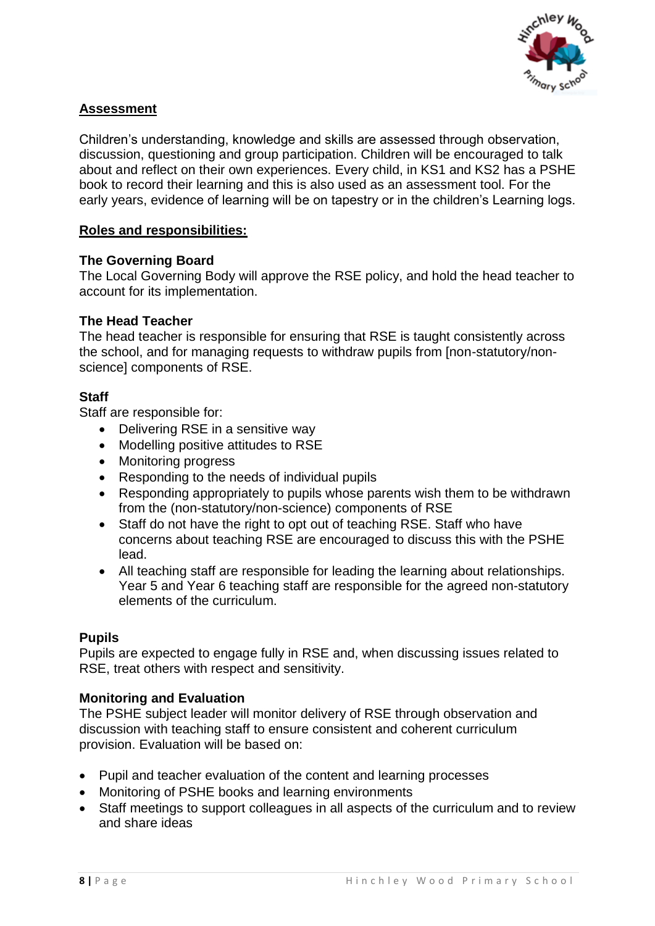

## **Assessment**

Children's understanding, knowledge and skills are assessed through observation, discussion, questioning and group participation. Children will be encouraged to talk about and reflect on their own experiences. Every child, in KS1 and KS2 has a PSHE book to record their learning and this is also used as an assessment tool. For the early years, evidence of learning will be on tapestry or in the children's Learning logs.

### **Roles and responsibilities:**

#### **The Governing Board**

The Local Governing Body will approve the RSE policy, and hold the head teacher to account for its implementation.

#### **The Head Teacher**

The head teacher is responsible for ensuring that RSE is taught consistently across the school, and for managing requests to withdraw pupils from [non-statutory/nonscience] components of RSE.

#### **Staff**

Staff are responsible for:

- Delivering RSE in a sensitive way
- Modelling positive attitudes to RSE
- Monitoring progress
- Responding to the needs of individual pupils
- Responding appropriately to pupils whose parents wish them to be withdrawn from the (non-statutory/non-science) components of RSE
- Staff do not have the right to opt out of teaching RSE. Staff who have concerns about teaching RSE are encouraged to discuss this with the PSHE lead.
- All teaching staff are responsible for leading the learning about relationships. Year 5 and Year 6 teaching staff are responsible for the agreed non-statutory elements of the curriculum.

#### **Pupils**

Pupils are expected to engage fully in RSE and, when discussing issues related to RSE, treat others with respect and sensitivity.

#### **Monitoring and Evaluation**

The PSHE subject leader will monitor delivery of RSE through observation and discussion with teaching staff to ensure consistent and coherent curriculum provision. Evaluation will be based on:

- Pupil and teacher evaluation of the content and learning processes
- Monitoring of PSHE books and learning environments
- Staff meetings to support colleagues in all aspects of the curriculum and to review and share ideas